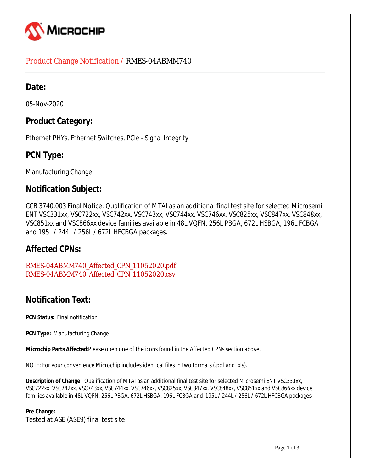

### Product Change Notification / RMES-04ABMM740

## **Date:**

05-Nov-2020

## **Product Category:**

Ethernet PHYs, Ethernet Switches, PCIe - Signal Integrity

## **PCN Type:**

Manufacturing Change

## **Notification Subject:**

CCB 3740.003 Final Notice: Qualification of MTAI as an additional final test site for selected Microsemi ENT VSC331xx, VSC722xx, VSC742xx, VSC743xx, VSC744xx, VSC746xx, VSC825xx, VSC847xx, VSC848xx, VSC851xx and VSC866xx device families available in 48L VQFN, 256L PBGA, 672L HSBGA, 196L FCBGA and 195L / 244L / 256L / 672L HFCBGA packages.

## **Affected CPNs:**

[RMES-04ABMM740\\_Affected\\_CPN\\_11052020.pdf](https://www.microchip.com/mymicrochipapi/api/pcn/DownloadPcnDocument?pcnId=14886&affectedcpns=pdf) [RMES-04ABMM740\\_Affected\\_CPN\\_11052020.csv](https://www.microchip.com/mymicrochipapi/api/pcn/DownloadPcnDocument?pcnId=14886&affectedcpns=xls)

## **Notification Text:**

**PCN Status:** Final notification

**PCN Type:** Manufacturing Change

**Microchip Parts Affected:**Please open one of the icons found in the Affected CPNs section above.

NOTE: For your convenience Microchip includes identical files in two formats (.pdf and .xls).

**Description of Change:** Qualification of MTAI as an additional final test site for selected Microsemi ENT VSC331xx, VSC722xx, VSC742xx, VSC743xx, VSC744xx, VSC746xx, VSC825xx, VSC847xx, VSC848xx, VSC851xx and VSC866xx device families available in 48L VQFN, 256L PBGA, 672L HSBGA, 196L FCBGA and 195L / 244L / 256L / 672L HFCBGA packages.

**Pre Change:**  Tested at ASE (ASE9) final test site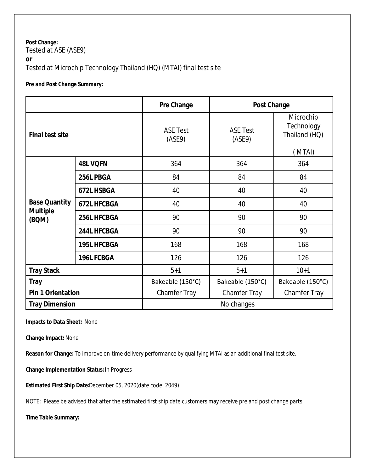#### **Post Change:**

Tested at ASE (ASE9)

### **or**

Tested at Microchip Technology Thailand (HQ) (MTAI) final test site

#### **Pre and Post Change Summary:**

|                                                  |                    | Pre Change                | <b>Post Change</b>        |                                                    |  |
|--------------------------------------------------|--------------------|---------------------------|---------------------------|----------------------------------------------------|--|
| <b>Final test site</b>                           |                    | <b>ASE Test</b><br>(ASE9) | <b>ASE Test</b><br>(ASE9) | Microchip<br>Technology<br>Thailand (HQ)<br>(MTAI) |  |
|                                                  | <b>48L VQFN</b>    | 364                       | 364                       | 364                                                |  |
|                                                  | 256L PBGA          | 84                        | 84                        | 84                                                 |  |
| <b>Base Quantity</b><br><b>Multiple</b><br>(BQM) | 672L HSBGA         | 40                        | 40                        | 40                                                 |  |
|                                                  | <b>672L HFCBGA</b> | 40                        | 40                        | 40                                                 |  |
|                                                  | 256L HFCBGA        | 90                        | 90                        | 90                                                 |  |
|                                                  | 244L HFCBGA        | 90                        | 90                        | 90                                                 |  |
|                                                  | 195L HFCBGA        | 168                       | 168                       | 168                                                |  |
|                                                  | 196L FCBGA         | 126                       | 126                       | 126                                                |  |
| <b>Tray Stack</b>                                |                    | $5 + 1$                   | $5 + 1$                   | $10+1$                                             |  |
| <b>Tray</b>                                      |                    | Bakeable (150°C)          | Bakeable (150°C)          | Bakeable (150°C)                                   |  |
| <b>Pin 1 Orientation</b>                         |                    | Chamfer Tray              | <b>Chamfer Tray</b>       | Chamfer Tray                                       |  |
| <b>Tray Dimension</b>                            |                    | No changes                |                           |                                                    |  |

**Impacts to Data Sheet:** None

**Change Impact:** None

**Reason for Change:** To improve on-time delivery performance by qualifying MTAI as an additional final test site.

**Change Implementation Status:** In Progress

**Estimated First Ship Date:**December 05, 2020(date code: 2049)

NOTE: Please be advised that after the estimated first ship date customers may receive pre and post change parts.

**Time Table Summary:**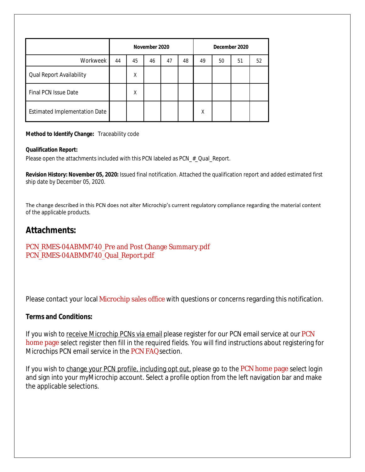|                                 | November 2020 |    |    | December 2020 |    |    |    |    |    |
|---------------------------------|---------------|----|----|---------------|----|----|----|----|----|
| Workweek                        | 44            | 45 | 46 | 47            | 48 | 49 | 50 | 51 | 52 |
| <b>Qual Report Availability</b> |               | Χ  |    |               |    |    |    |    |    |
| Final PCN Issue Date            |               | Χ  |    |               |    |    |    |    |    |
| Estimated Implementation Date   |               |    |    |               |    | Χ  |    |    |    |

**Method to Identify Change:** Traceability code

#### **Qualification Report:**

Please open the attachments included with this PCN labeled as PCN\_#\_Qual\_Report.

**Revision History: November 05, 2020:** Issued final notification. Attached the qualification report and added estimated first ship date by December 05, 2020.

The change described in this PCN does not alter Microchip's current regulatory compliance regarding the material content of the applicable products.

## **Attachments:**

### [PCN\\_RMES-04ABMM740\\_Pre and Post Change Summary.pdf](https://www.microchip.com/mymicrochipapi/api/pcn/DownloadPcnDocument?pcnId=14886&filename=PCN_RMES-04ABMM740_Pre and Post Change Summary.pdf) [PCN\\_RMES-04ABMM740\\_Qual\\_Report.pdf](https://www.microchip.com/mymicrochipapi/api/pcn/DownloadPcnDocument?pcnId=14886&filename=PCN_RMES-04ABMM740_Qual_Report.pdf)

Please contact your local [Microchip sales office](http://www.microchip.com/distributors/SalesHome.aspx) with questions or concerns regarding this notification.

### **Terms and Conditions:**

If you wish to receive Microchip PCNs via email please register for our [PCN](http://www.microchip.com/pcn) email service at our PCN [home page](http://www.microchip.com/pcn) select register then fill in the required fields. You will find instructions about registering for Microchips PCN email service in the [PCN FAQ](http://www.microchip.com/pcn/faqs) section.

If you wish to change your PCN profile, including opt out, please go to the [PCN home page](http://www.microchip.com/pcn) select login and sign into your myMicrochip account. Select a profile option from the left navigation bar and make the applicable selections.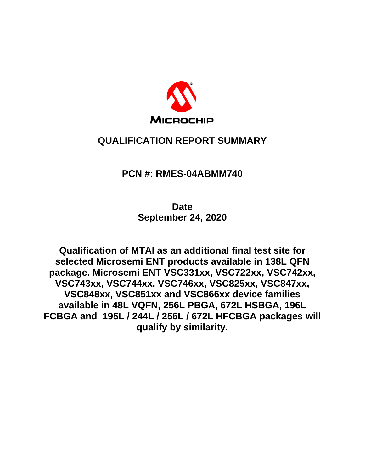

## **QUALIFICATION REPORT SUMMARY**

**PCN #: RMES-04ABMM740**

**Date September 24, 2020**

**Qualification of MTAI as an additional final test site for selected Microsemi ENT products available in 138L QFN package. Microsemi ENT VSC331xx, VSC722xx, VSC742xx, VSC743xx, VSC744xx, VSC746xx, VSC825xx, VSC847xx, VSC848xx, VSC851xx and VSC866xx device families available in 48L VQFN, 256L PBGA, 672L HSBGA, 196L FCBGA and 195L / 244L / 256L / 672L HFCBGA packages will qualify by similarity.**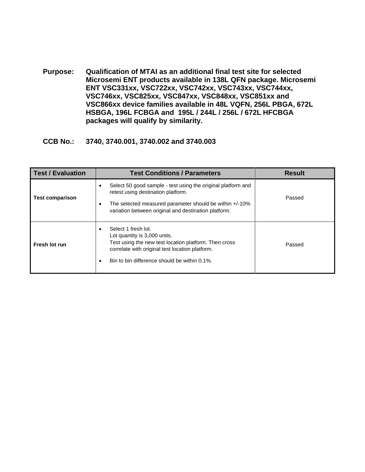- **Purpose: Qualification of MTAI as an additional final test site for selected Microsemi ENT products available in 138L QFN package. Microsemi ENT VSC331xx, VSC722xx, VSC742xx, VSC743xx, VSC744xx, VSC746xx, VSC825xx, VSC847xx, VSC848xx, VSC851xx and VSC866xx device families available in 48L VQFN, 256L PBGA, 672L HSBGA, 196L FCBGA and 195L / 244L / 256L / 672L HFCBGA packages will qualify by similarity.**
- **CCB No.: 3740, 3740.001, 3740.002 and 3740.003**

| Test / Evaluation      | <b>Test Conditions / Parameters</b>                                                                                                                                                                                        | <b>Result</b> |
|------------------------|----------------------------------------------------------------------------------------------------------------------------------------------------------------------------------------------------------------------------|---------------|
| <b>Test comparison</b> | Select 50 good sample - test using the original platform and<br>retest using destination platform.<br>The selected measured parameter should be within +/-10%<br>٠<br>variation between original and destination platform. | Passed        |
| Fresh lot run          | Select 1 fresh lot.<br>Lot quantity is 3,000 units.<br>Test using the new test location platform. Then cross<br>correlate with original test location platform.<br>Bin to bin difference should be within 0.1%.            | Passed        |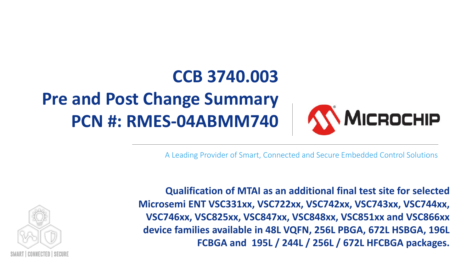## **CCB 3740.003 Pre and Post Change Summary PCN #: RMES-04ABMM740**



A Leading Provider of Smart, Connected and Secure Embedded Control Solutions



**Qualification of MTAI as an additional final test site for selected Microsemi ENT VSC331xx, VSC722xx, VSC742xx, VSC743xx, VSC744xx, VSC746xx, VSC825xx, VSC847xx, VSC848xx, VSC851xx and VSC866xx device families available in 48L VQFN, 256L PBGA, 672L HSBGA, 196L FCBGA and 195L / 244L / 256L / 672L HFCBGA packages.**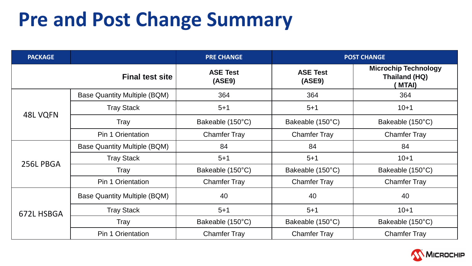# **Pre and Post Change Summary**

| <b>PACKAGE</b>         |                                     | <b>PRE CHANGE</b>         | <b>POST CHANGE</b>               |                                                       |  |
|------------------------|-------------------------------------|---------------------------|----------------------------------|-------------------------------------------------------|--|
| <b>Final test site</b> |                                     | <b>ASE Test</b><br>(ASE9) | <b>ASE Test</b><br><b>(ASE9)</b> | <b>Microchip Technology</b><br>Thailand (HQ)<br>MTAI) |  |
|                        | <b>Base Quantity Multiple (BQM)</b> | 364                       | 364                              | 364                                                   |  |
|                        | <b>Tray Stack</b>                   | $5 + 1$                   | $5+1$                            | $10+1$                                                |  |
| <b>48L VQFN</b>        | Tray                                | Bakeable (150°C)          | Bakeable (150°C)                 | Bakeable (150°C)                                      |  |
|                        | <b>Pin 1 Orientation</b>            | <b>Chamfer Tray</b>       | <b>Chamfer Tray</b>              | <b>Chamfer Tray</b>                                   |  |
|                        | <b>Base Quantity Multiple (BQM)</b> | 84                        | 84                               | 84                                                    |  |
| 256L PBGA              | <b>Tray Stack</b>                   | $5 + 1$                   | $5 + 1$                          | $10+1$                                                |  |
|                        | Tray                                | Bakeable (150°C)          | Bakeable (150°C)                 | Bakeable (150°C)                                      |  |
|                        | <b>Pin 1 Orientation</b>            | <b>Chamfer Tray</b>       | <b>Chamfer Tray</b>              | <b>Chamfer Tray</b>                                   |  |
| 672L HSBGA             | <b>Base Quantity Multiple (BQM)</b> | 40                        | 40                               | 40                                                    |  |
|                        | <b>Tray Stack</b>                   | $5 + 1$                   | $5 + 1$                          | $10+1$                                                |  |
|                        | Tray                                | Bakeable (150°C)          | Bakeable (150°C)                 | Bakeable (150°C)                                      |  |
|                        | <b>Pin 1 Orientation</b>            | <b>Chamfer Tray</b>       | <b>Chamfer Tray</b>              | <b>Chamfer Tray</b>                                   |  |

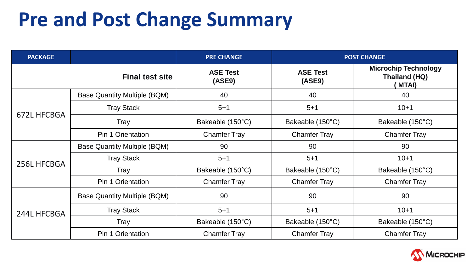# **Pre and Post Change Summary**

| <b>PACKAGE</b>         |                                     | <b>PRE CHANGE</b>                | <b>POST CHANGE</b>               |                                                       |  |
|------------------------|-------------------------------------|----------------------------------|----------------------------------|-------------------------------------------------------|--|
| <b>Final test site</b> |                                     | <b>ASE Test</b><br><b>(ASE9)</b> | <b>ASE Test</b><br><b>(ASE9)</b> | <b>Microchip Technology</b><br>Thailand (HQ)<br>MTAI) |  |
|                        | <b>Base Quantity Multiple (BQM)</b> | 40                               | 40                               | 40                                                    |  |
|                        | <b>Tray Stack</b>                   | $5 + 1$                          | $5+1$                            | $10 + 1$                                              |  |
| 672L HFCBGA            | Tray                                | Bakeable (150°C)                 | Bakeable (150°C)                 | Bakeable (150°C)                                      |  |
|                        | <b>Pin 1 Orientation</b>            | <b>Chamfer Tray</b>              | <b>Chamfer Tray</b>              | <b>Chamfer Tray</b>                                   |  |
|                        | <b>Base Quantity Multiple (BQM)</b> | 90                               | 90                               | 90                                                    |  |
|                        | <b>Tray Stack</b>                   | $5 + 1$                          | $5 + 1$                          | $10+1$                                                |  |
| 256L HFCBGA            | Tray                                | Bakeable (150°C)                 | Bakeable (150°C)                 | Bakeable (150°C)                                      |  |
|                        | <b>Pin 1 Orientation</b>            | <b>Chamfer Tray</b>              | <b>Chamfer Tray</b>              | <b>Chamfer Tray</b>                                   |  |
| 244L HFCBGA            | <b>Base Quantity Multiple (BQM)</b> | 90                               | 90                               | 90                                                    |  |
|                        | <b>Tray Stack</b>                   | $5 + 1$                          | $5 + 1$                          | $10+1$                                                |  |
|                        | Tray                                | Bakeable (150°C)                 | Bakeable (150°C)                 | Bakeable (150°C)                                      |  |
|                        | <b>Pin 1 Orientation</b>            | <b>Chamfer Tray</b>              | <b>Chamfer Tray</b>              | <b>Chamfer Tray</b>                                   |  |

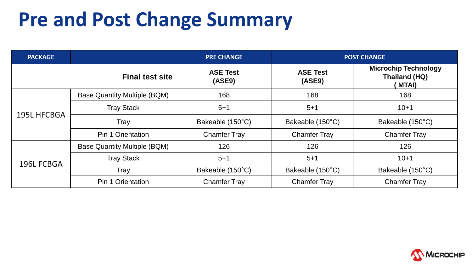# **Pre and Post Change Summary**

| <b>PACKAGE</b>         |                                     | <b>PRE CHANGE</b>         | <b>POST CHANGE</b>               |                                                       |  |
|------------------------|-------------------------------------|---------------------------|----------------------------------|-------------------------------------------------------|--|
| <b>Final test site</b> |                                     | <b>ASE Test</b><br>(ASE9) | <b>ASE Test</b><br><b>(ASE9)</b> | <b>Microchip Technology</b><br>Thailand (HQ)<br>MTAI) |  |
|                        | <b>Base Quantity Multiple (BQM)</b> | 168                       | 168                              | 168                                                   |  |
| <b>195L HFCBGA</b>     | <b>Tray Stack</b>                   | $5 + 1$                   | $5 + 1$                          | $10+1$                                                |  |
|                        | Tray                                | Bakeable (150°C)          | Bakeable (150°C)                 | Bakeable (150°C)                                      |  |
|                        | <b>Pin 1 Orientation</b>            | <b>Chamfer Tray</b>       | <b>Chamfer Tray</b>              | <b>Chamfer Tray</b>                                   |  |
| 196L FCBGA             | <b>Base Quantity Multiple (BQM)</b> | 126                       | 126                              | 126                                                   |  |
|                        | <b>Tray Stack</b>                   | $5 + 1$                   | $5 + 1$                          | $10+1$                                                |  |
|                        | Tray                                | Bakeable (150°C)          | Bakeable (150°C)                 | Bakeable (150°C)                                      |  |
|                        | <b>Pin 1 Orientation</b>            | <b>Chamfer Tray</b>       | <b>Chamfer Tray</b>              | <b>Chamfer Tray</b>                                   |  |

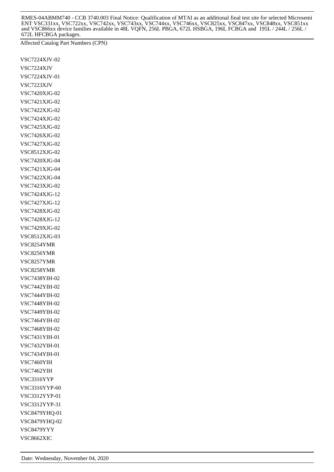RMES-04ABMM740 - CCB 3740.003 Final Notice: Qualification of MTAI as an additional final test site for selected Microsemi ENT VSC331xx, VSC722xx, VSC742xx, VSC743xx, VSC744xx, VSC746xx, VSC825xx, VSC847xx, VSC848xx, VSC851xx and VSC866xx device families available in 48L VQFN, 256L PBGA, 672L HSBGA, 196L FCBGA and 195L / 244L / 256L / 672L HFCBGA packages.

Affected Catalog Part Numbers (CPN)

VSC7224XJV-02 VSC7224XJV VSC7224XJV-01 VSC7223XJV VSC7420XJG-02 VSC7421XJG-02 VSC7422XJG-02 VSC7424XJG-02 VSC7425XJG-02 VSC7426XJG-02 VSC7427XJG-02 VSC8512XJG-02 VSC7420XJG-04 VSC7421XJG-04 VSC7422XJG-04 VSC7423XJG-02 VSC7424XJG-12 VSC7427XJG-12 VSC7428XJG-02 VSC7428XJG-12 VSC7429XJG-02 VSC8512XJG-03 VSC8254YMR VSC8256YMR VSC8257YMR VSC8258YMR VSC7438YIH-02 VSC7442YIH-02 VSC7444YIH-02 VSC7448YIH-02 VSC7449YIH-02 VSC7464YIH-02 VSC7468YIH-02 VSC7431YIH-01 VSC7432YIH-01 VSC7434YIH-01 VSC7460YIH VSC7462YIH VSC3316YYP VSC3316YYP-60 VSC3312YYP-01 VSC3312YYP-31 VSC8479YHQ-01 VSC8479YHQ-02 VSC8479YYY VSC8662XIC